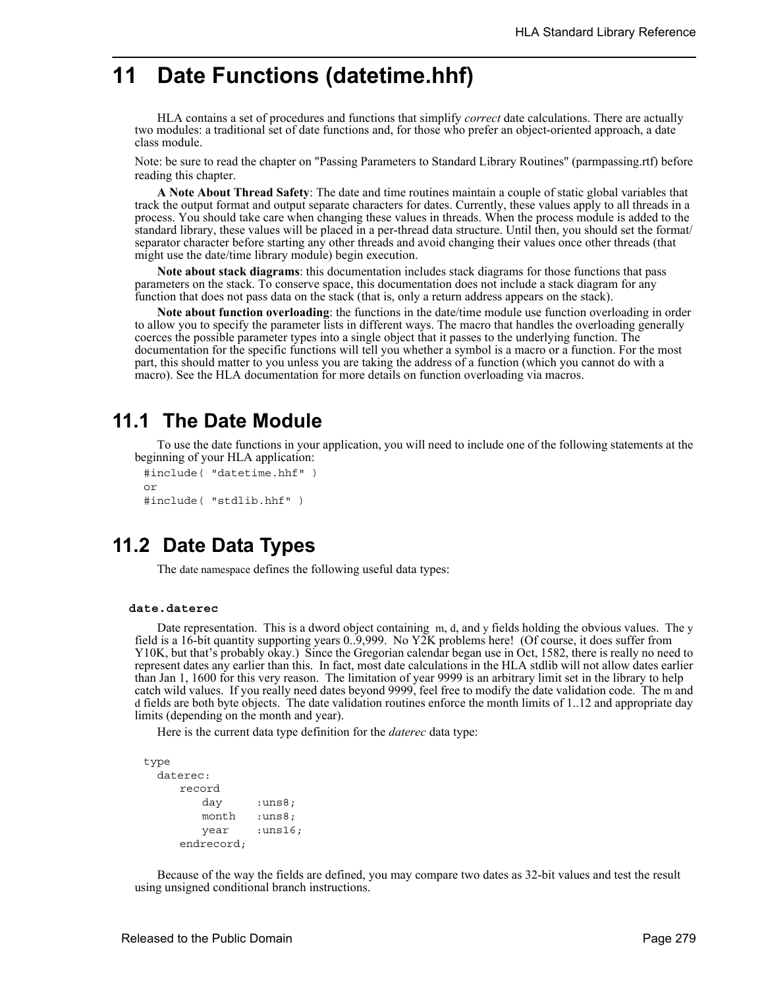# **11 Date Functions (datetime.hhf)**

HLA contains a set of procedures and functions that simplify *correct* date calculations. There are actually two modules: a traditional set of date functions and, for those who prefer an object-oriented approach, a date class module.

Note: be sure to read the chapter on "Passing Parameters to Standard Library Routines" (parmpassing.rtf) before reading this chapter.

**A Note About Thread Safety**: The date and time routines maintain a couple of static global variables that track the output format and output separate characters for dates. Currently, these values apply to all threads in a process. You should take care when changing these values in threads. When the process module is added to the standard library, these values will be placed in a per-thread data structure. Until then, you should set the format/ separator character before starting any other threads and avoid changing their values once other threads (that might use the date/time library module) begin execution.

**Note about stack diagrams**: this documentation includes stack diagrams for those functions that pass parameters on the stack. To conserve space, this documentation does not include a stack diagram for any function that does not pass data on the stack (that is, only a return address appears on the stack).

**Note about function overloading**: the functions in the date/time module use function overloading in order to allow you to specify the parameter lists in different ways. The macro that handles the overloading generally coerces the possible parameter types into a single object that it passes to the underlying function. The documentation for the specific functions will tell you whether a symbol is a macro or a function. For the most part, this should matter to you unless you are taking the address of a function (which you cannot do with a macro). See the HLA documentation for more details on function overloading via macros.

# **11.1 The Date Module**

To use the date functions in your application, you will need to include one of the following statements at the beginning of your HLA application:

```
#include( "datetime.hhf" )
or
#include( "stdlib.hhf" )
```
# **11.2 Date Data Types**

The date namespace defines the following useful data types:

### **date.daterec**

Date representation. This is a dword object containing m, d, and y fields holding the obvious values. The y field is a 16-bit quantity supporting years 0..9,999. No Y2K problems here! (Of course, it does suffer from Y10K, but that's probably okay.) Since the Gregorian calendar began use in Oct, 1582, there is really no need to represent dates any earlier than this. In fact, most date calculations in the HLA stdlib will not allow dates earlier than Jan 1, 1600 for this very reason. The limitation of year 9999 is an arbitrary limit set in the library to help catch wild values. If you really need dates beyond 9999, feel free to modify the date validation code. The m and d fields are both byte objects. The date validation routines enforce the month limits of 1..12 and appropriate day limits (depending on the month and year).

Here is the current data type definition for the *daterec* data type:

```
type
 daterec: 
    record
        day :uns8;
        month :uns8;
        year :uns16;
     endrecord;
```
Because of the way the fields are defined, you may compare two dates as 32-bit values and test the result using unsigned conditional branch instructions.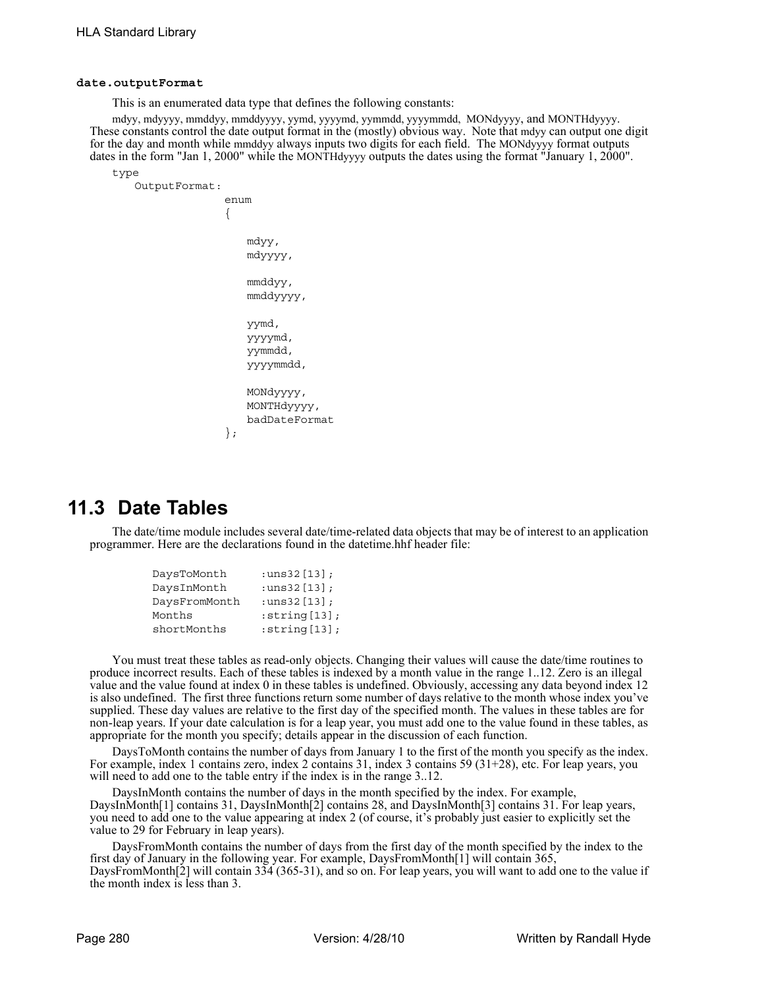#### **date.outputFormat**

This is an enumerated data type that defines the following constants:

mdyy, mdyyyy, mmddyy, mmddyyyy, yymd, yyyymd, yymmdd, yyyymmdd, MONdyyyy, and MONTHdyyyy. These constants control the date output format in the (mostly) obvious way. Note that mdyy can output one digit for the day and month while mmddyy always inputs two digits for each field. The MONdyyyy format outputs dates in the form "Jan 1, 2000" while the MONTHdyyyy outputs the dates using the format "January 1, 2000".

type

```
OutputFormat: 
               enum
               { 
                   mdyy,
                   mdyyyy,
                   mmddyy,
                   mmddyyyy,
                   yymd,
                   yyyymd,
                   yymmdd,
                   yyyymmdd, 
                   MONdyyyy, 
                   MONTHdyyyy,
                   badDateFormat 
               };
```
# **11.3 Date Tables**

The date/time module includes several date/time-related data objects that may be of interest to an application programmer. Here are the declarations found in the datetime.hhf header file:

| DaysToMonth   | : $uns32[13]$ ;     |
|---------------|---------------------|
| DaysInMonth   | : $uns32[13]$ ;     |
| DaysFromMonth | : $uns32[13]$ ;     |
| Months        | $:$ string $[13]$ ; |
| shortMonths   | $:$ string $[13]$ ; |

You must treat these tables as read-only objects. Changing their values will cause the date/time routines to produce incorrect results. Each of these tables is indexed by a month value in the range 1..12. Zero is an illegal value and the value found at index 0 in these tables is undefined. Obviously, accessing any data beyond index 12 is also undefined. The first three functions return some number of days relative to the month whose index you've supplied. These day values are relative to the first day of the specified month. The values in these tables are for non-leap years. If your date calculation is for a leap year, you must add one to the value found in these tables, as appropriate for the month you specify; details appear in the discussion of each function.

DaysToMonth contains the number of days from January 1 to the first of the month you specify as the index. For example, index 1 contains zero, index 2 contains 31, index 3 contains 59 (31+28), etc. For leap years, you will need to add one to the table entry if the index is in the range 3..12.

DaysInMonth contains the number of days in the month specified by the index. For example, DaysInMonth[1] contains 31, DaysInMonth[2] contains 28, and DaysInMonth[3] contains 31. For leap years, you need to add one to the value appearing at index 2 (of course, it's probably just easier to explicitly set the value to 29 for February in leap years).

DaysFromMonth contains the number of days from the first day of the month specified by the index to the first day of January in the following year. For example, DaysFromMonth[1] will contain 365, DaysFromMonth[2] will contain 334 (365-31), and so on. For leap years, you will want to add one to the value if the month index is less than 3.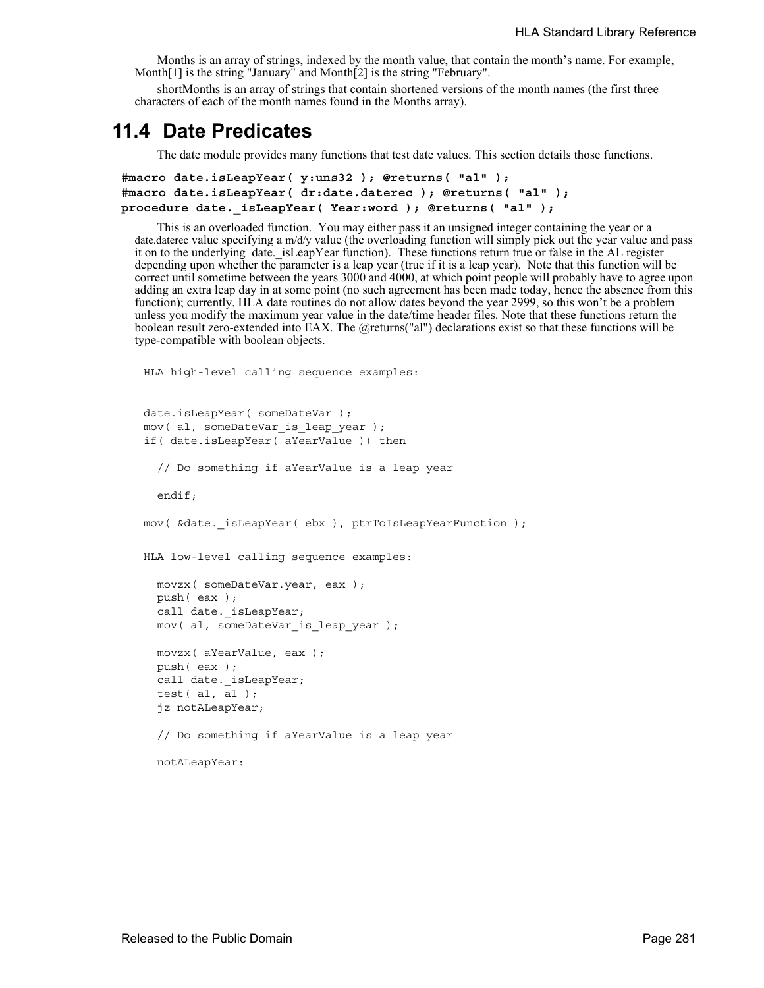Months is an array of strings, indexed by the month value, that contain the month's name. For example, Month[1] is the string "January" and Month[2] is the string "February".

shortMonths is an array of strings that contain shortened versions of the month names (the first three characters of each of the month names found in the Months array).

# **11.4 Date Predicates**

The date module provides many functions that test date values. This section details those functions.

```
#macro date.isLeapYear( y:uns32 ); @returns( "al" );
#macro date.isLeapYear( dr:date.daterec ); @returns( "al" );
procedure date._isLeapYear( Year:word ); @returns( "al" );
```
This is an overloaded function. You may either pass it an unsigned integer containing the year or a date.daterec value specifying a m/d/y value (the overloading function will simply pick out the year value and pass it on to the underlying date. is LeapYear function). These functions return true or false in the AL register depending upon whether the parameter is a leap year (true if it is a leap year). Note that this function will be correct until sometime between the years 3000 and 4000, at which point people will probably have to agree upon adding an extra leap day in at some point (no such agreement has been made today, hence the absence from this function); currently, HLA date routines do not allow dates beyond the year 2999, so this won't be a problem unless you modify the maximum year value in the date/time header files. Note that these functions return the boolean result zero-extended into EAX. The @returns("al") declarations exist so that these functions will be type-compatible with boolean objects.

```
HLA high-level calling sequence examples:
date.isLeapYear( someDateVar );
mov( al, someDateVar is leap year );
if( date.isLeapYear( aYearValue )) then
  // Do something if aYearValue is a leap year
 endif;
mov( &date. isLeapYear( ebx ), ptrToIsLeapYearFunction );
HLA low-level calling sequence examples:
 movzx( someDateVar.year, eax );
 push( eax );
 call date. isLeapYear;
 mov( al, someDateVar is leap year );
 movzx( aYearValue, eax );
 push( eax );
 call date._isLeapYear;
  test( al, al );
  jz notALeapYear;
 // Do something if aYearValue is a leap year
 notALeapYear:
```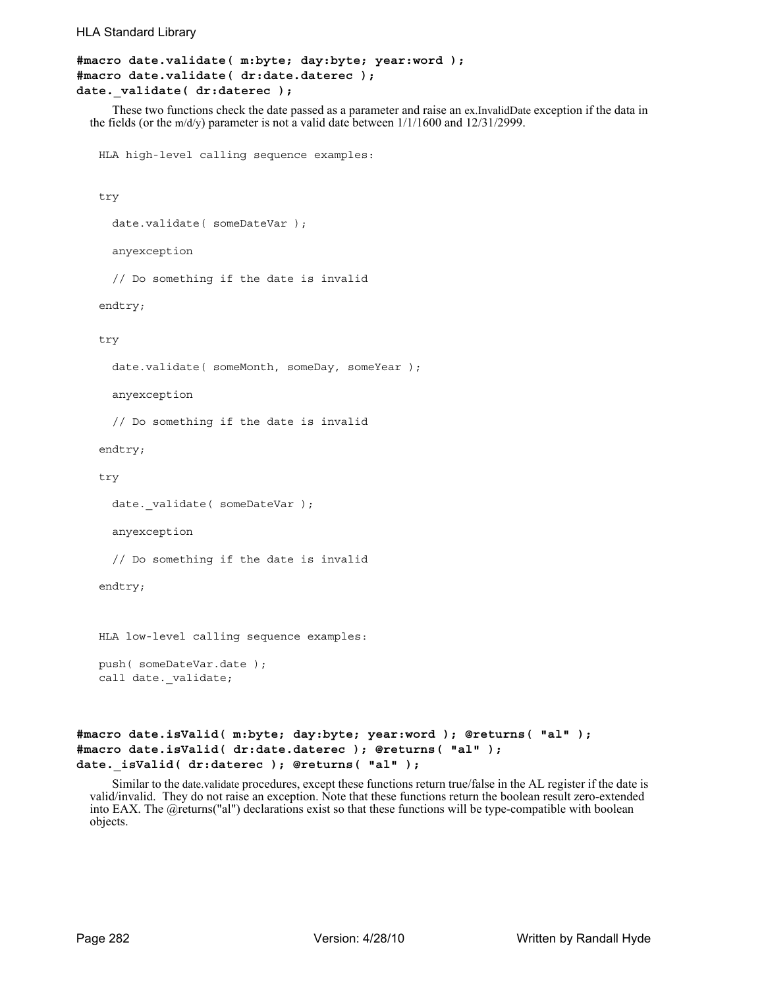```
HLA Standard Library
```

```
#macro date.validate( m:byte; day:byte; year:word );
#macro date.validate( dr:date.daterec );
date. validate( dr:daterec );
```
These two functions check the date passed as a parameter and raise an ex.InvalidDate exception if the data in the fields (or the m/d/y) parameter is not a valid date between 1/1/1600 and 12/31/2999.

HLA high-level calling sequence examples:

```
try
```

```
date.validate( someDateVar );
```
anyexception

// Do something if the date is invalid

endtry;

try

date.validate( someMonth, someDay, someYear );

anyexception

// Do something if the date is invalid

endtry;

try

```
date._validate( someDateVar );
```
anyexception

// Do something if the date is invalid

endtry;

HLA low-level calling sequence examples:

```
push( someDateVar.date );
call date. validate;
```

```
#macro date.isValid( m:byte; day:byte; year:word ); @returns( "al" );
#macro date.isValid( dr:date.daterec ); @returns( "al" );
date._isValid( dr:daterec ); @returns( "al" );
```
Similar to the date.validate procedures, except these functions return true/false in the AL register if the date is valid/invalid. They do not raise an exception. Note that these functions return the boolean result zero-extended into EAX. The @returns("al") declarations exist so that these functions will be type-compatible with boolean objects.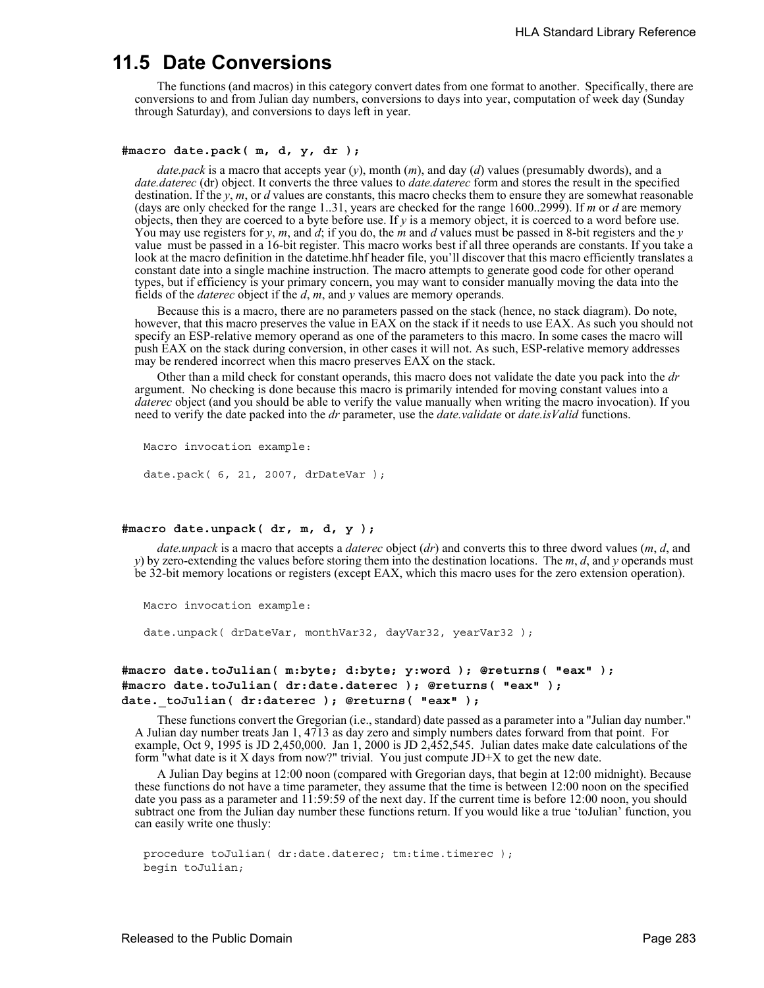# **11.5 Date Conversions**

The functions (and macros) in this category convert dates from one format to another. Specifically, there are conversions to and from Julian day numbers, conversions to days into year, computation of week day (Sunday through Saturday), and conversions to days left in year.

#### **#macro date.pack( m, d, y, dr );**

*date.pack* is a macro that accepts year (*y*), month (*m*), and day (*d*) values (presumably dwords), and a *date.daterec* (dr) object. It converts the three values to *date.daterec* form and stores the result in the specified destination. If the *y*, *m*, or *d* values are constants, this macro checks them to ensure they are somewhat reasonable (days are only checked for the range 1..31, years are checked for the range 1600..2999). If *m* or *d* are memory objects, then they are coerced to a byte before use. If *y* is a memory object, it is coerced to a word before use. You may use registers for *y*, *m*, and *d*; if you do, the *m* and *d* values must be passed in 8-bit registers and the *y* value must be passed in a 16-bit register. This macro works best if all three operands are constants. If you take a look at the macro definition in the datetime.hhf header file, you'll discover that this macro efficiently translates a constant date into a single machine instruction. The macro attempts to generate good code for other operand types, but if efficiency is your primary concern, you may want to consider manually moving the data into the fields of the *daterec* object if the *d*, *m*, and *y* values are memory operands.

Because this is a macro, there are no parameters passed on the stack (hence, no stack diagram). Do note, however, that this macro preserves the value in EAX on the stack if it needs to use EAX. As such you should not specify an ESP-relative memory operand as one of the parameters to this macro. In some cases the macro will push EAX on the stack during conversion, in other cases it will not. As such, ESP-relative memory addresses may be rendered incorrect when this macro preserves EAX on the stack.

Other than a mild check for constant operands, this macro does not validate the date you pack into the *dr* argument. No checking is done because this macro is primarily intended for moving constant values into a *daterec* object (and you should be able to verify the value manually when writing the macro invocation). If you need to verify the date packed into the *dr* parameter, use the *date.validate* or *date.isValid* functions.

```
Macro invocation example:
date.pack( 6, 21, 2007, drDateVar );
```
#### **#macro date.unpack( dr, m, d, y );**

*date.unpack* is a macro that accepts a *daterec* object (*dr*) and converts this to three dword values (*m*, *d*, and *y*) by zero-extending the values before storing them into the destination locations. The *m*, *d*, and *y* operands must be 32-bit memory locations or registers (except EAX, which this macro uses for the zero extension operation).

```
Macro invocation example:
```
date.unpack( drDateVar, monthVar32, dayVar32, yearVar32 );

```
#macro date.toJulian( m:byte; d:byte; y:word ); @returns( "eax" );
#macro date.toJulian( dr:date.daterec ); @returns( "eax" );
date._toJulian( dr:daterec ); @returns( "eax" );
```
These functions convert the Gregorian (i.e., standard) date passed as a parameter into a "Julian day number." A Julian day number treats Jan 1, 4713 as day zero and simply numbers dates forward from that point. For example, Oct 9, 1995 is JD 2,450,000. Jan 1, 2000 is JD 2,452,545. Julian dates make date calculations of the form "what date is it X days from now?" trivial. You just compute JD+X to get the new date.

A Julian Day begins at 12:00 noon (compared with Gregorian days, that begin at 12:00 midnight). Because these functions do not have a time parameter, they assume that the time is between 12:00 noon on the specified date you pass as a parameter and 11:59:59 of the next day. If the current time is before 12:00 noon, you should subtract one from the Julian day number these functions return. If you would like a true 'toJulian' function, you can easily write one thusly:

```
procedure toJulian( dr:date.daterec; tm:time.timerec );
begin toJulian;
```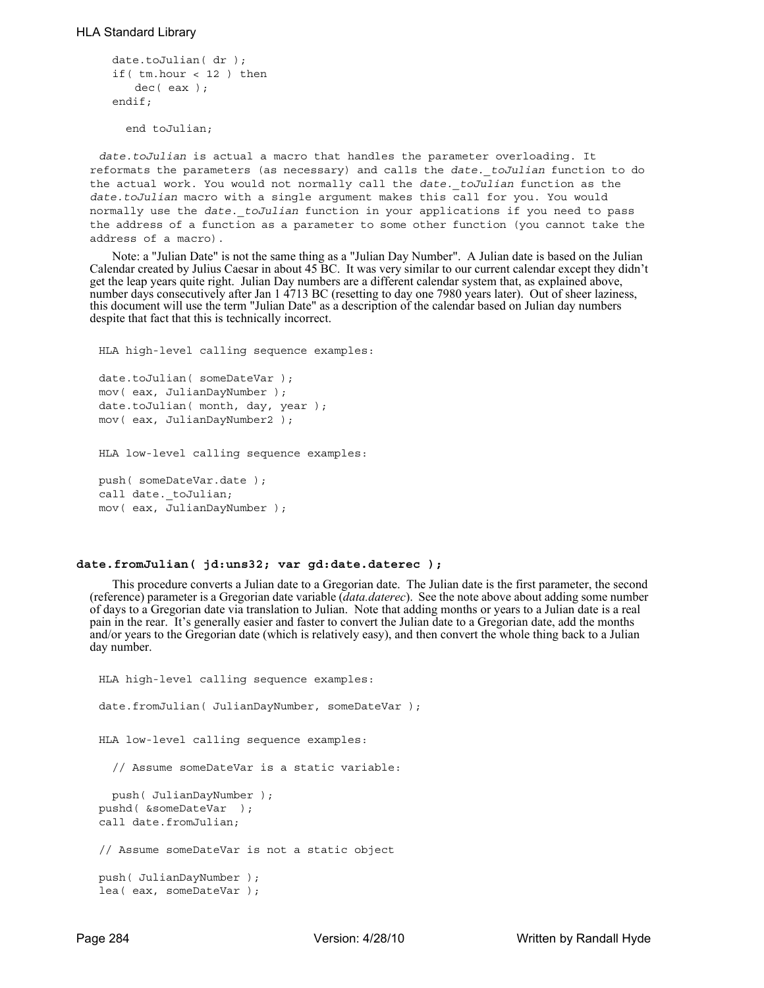```
date.toJulian( dr );
if( tm.hour < 12 ) then
   dec( eax );
endif;
```
end toJulian;

*date.toJulian* is actual a macro that handles the parameter overloading. It reformats the parameters (as necessary) and calls the *date.\_toJulian* function to do the actual work. You would not normally call the *date.\_toJulian* function as the *date.toJulian* macro with a single argument makes this call for you. You would normally use the *date.\_toJulian* function in your applications if you need to pass the address of a function as a parameter to some other function (you cannot take the address of a macro).

Note: a "Julian Date" is not the same thing as a "Julian Day Number". A Julian date is based on the Julian Calendar created by Julius Caesar in about 45 BC. It was very similar to our current calendar except they didn't get the leap years quite right. Julian Day numbers are a different calendar system that, as explained above, number days consecutively after Jan 1 4713 BC (resetting to day one 7980 years later). Out of sheer laziness, this document will use the term "Julian Date" as a description of the calendar based on Julian day numbers despite that fact that this is technically incorrect.

HLA high-level calling sequence examples:

```
date.toJulian( someDateVar );
mov( eax, JulianDayNumber );
date.toJulian( month, day, year );
mov( eax, JulianDayNumber2 );
```
HLA low-level calling sequence examples:

push( someDateVar.date ); call date. toJulian; mov( eax, JulianDayNumber );

# **date.fromJulian( jd:uns32; var gd:date.daterec );**

This procedure converts a Julian date to a Gregorian date. The Julian date is the first parameter, the second (reference) parameter is a Gregorian date variable (*data.daterec*). See the note above about adding some number of days to a Gregorian date via translation to Julian. Note that adding months or years to a Julian date is a real pain in the rear. It's generally easier and faster to convert the Julian date to a Gregorian date, add the months and/or years to the Gregorian date (which is relatively easy), and then convert the whole thing back to a Julian day number.

```
HLA high-level calling sequence examples:
date.fromJulian( JulianDayNumber, someDateVar );
HLA low-level calling sequence examples:
  // Assume someDateVar is a static variable:
 push( JulianDayNumber );
pushd( &someDateVar );
call date.fromJulian;
// Assume someDateVar is not a static object
push( JulianDayNumber );
lea( eax, someDateVar );
```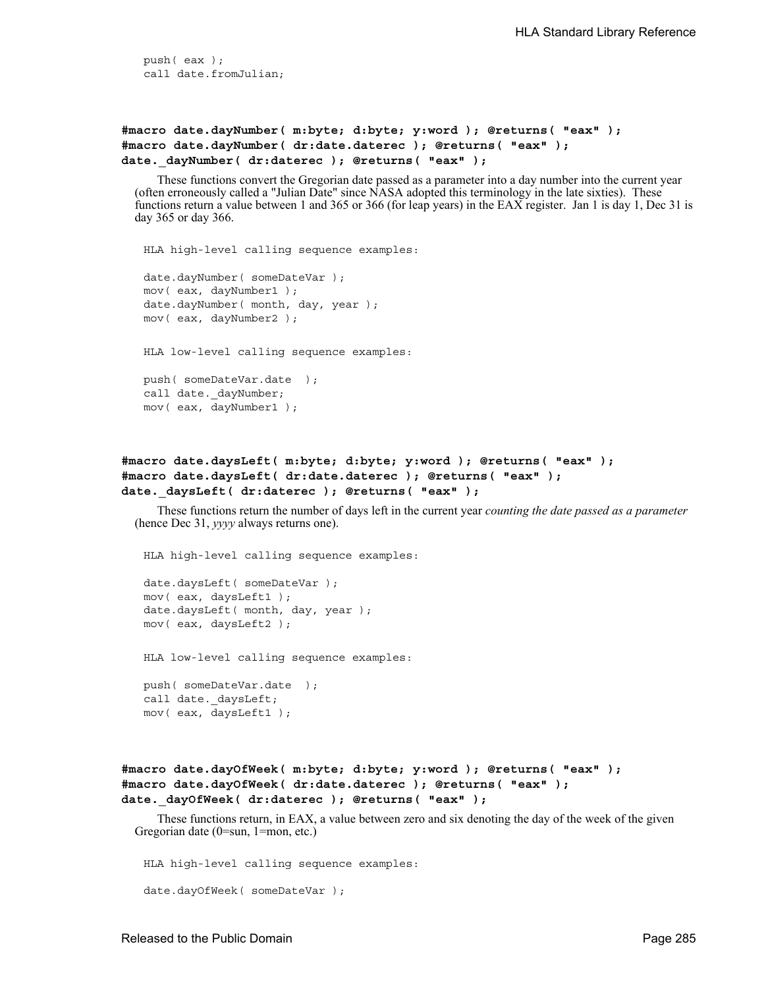push( eax ); call date.fromJulian;

**#macro date.dayNumber( m:byte; d:byte; y:word ); @returns( "eax" ); #macro date.dayNumber( dr:date.daterec ); @returns( "eax" ); date.\_dayNumber( dr:daterec ); @returns( "eax" );**

These functions convert the Gregorian date passed as a parameter into a day number into the current year (often erroneously called a "Julian Date" since NASA adopted this terminology in the late sixties). These functions return a value between 1 and 365 or 366 (for leap years) in the EAX register. Jan 1 is day 1, Dec 31 is day 365 or day 366.

```
HLA high-level calling sequence examples:
date.dayNumber( someDateVar );
mov( eax, dayNumber1 );
date.dayNumber( month, day, year );
mov( eax, dayNumber2 );
HLA low-level calling sequence examples:
push( someDateVar.date );
call date. dayNumber;
mov( eax, dayNumber1 );
```

```
#macro date.daysLeft( m:byte; d:byte; y:word ); @returns( "eax" );
#macro date.daysLeft( dr:date.daterec ); @returns( "eax" );
date. daysLeft( dr:daterec ); @returns( "eax" );
```
These functions return the number of days left in the current year *counting the date passed as a parameter* (hence Dec 31, *yyyy* always returns one).

HLA high-level calling sequence examples:

```
date.daysLeft( someDateVar );
mov( eax, daysLeft1 );
date.daysLeft( month, day, year );
mov( eax, daysLeft2 );
HLA low-level calling sequence examples:
push( someDateVar.date );
call date._daysLeft;
mov( eax, daysLeft1 );
```

```
#macro date.dayOfWeek( m:byte; d:byte; y:word ); @returns( "eax" );
#macro date.dayOfWeek( dr:date.daterec ); @returns( "eax" );
date. dayOfWeek( dr:daterec ); @returns( "eax" );
```
These functions return, in EAX, a value between zero and six denoting the day of the week of the given Gregorian date (0=sun, 1=mon, etc.)

HLA high-level calling sequence examples: date.dayOfWeek( someDateVar );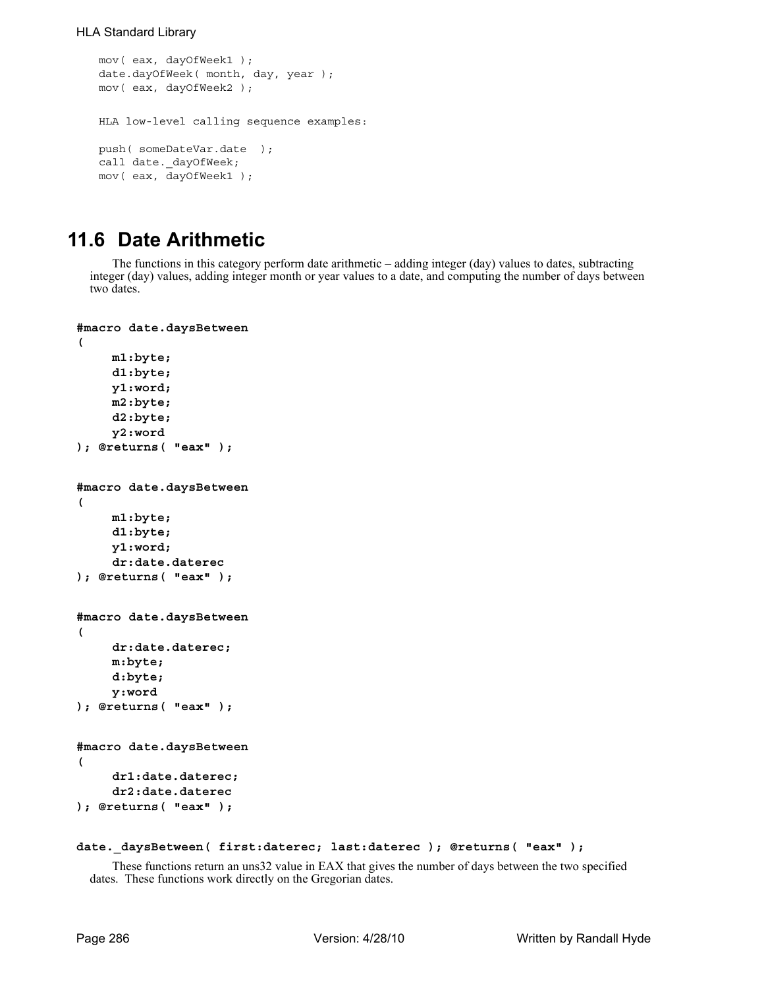```
mov( eax, dayOfWeek1 );
date.dayOfWeek( month, day, year );
mov( eax, dayOfWeek2 );
HLA low-level calling sequence examples:
push( someDateVar.date );
call date. dayOfWeek;
mov( eax, dayOfWeek1 );
```
# **11.6 Date Arithmetic**

The functions in this category perform date arithmetic – adding integer (day) values to dates, subtracting integer (day) values, adding integer month or year values to a date, and computing the number of days between two dates.

```
#macro date.daysBetween
( 
    m1:byte; 
    d1:byte; 
    y1:word; 
    m2:byte; 
    d2:byte; 
    y2:word 
); @returns( "eax" );
#macro date.daysBetween
( 
    m1:byte; 
    d1:byte; 
    y1:word; 
     dr:date.daterec 
); @returns( "eax" );
#macro date.daysBetween
( 
     dr:date.daterec;
    m:byte;
     d:byte; 
    y:word 
); @returns( "eax" );
#macro date.daysBetween
( 
     dr1:date.daterec; 
     dr2:date.daterec 
); @returns( "eax" );
```
### date. daysBetween( first:daterec; last:daterec ); @returns( "eax" );

These functions return an uns32 value in EAX that gives the number of days between the two specified dates. These functions work directly on the Gregorian dates.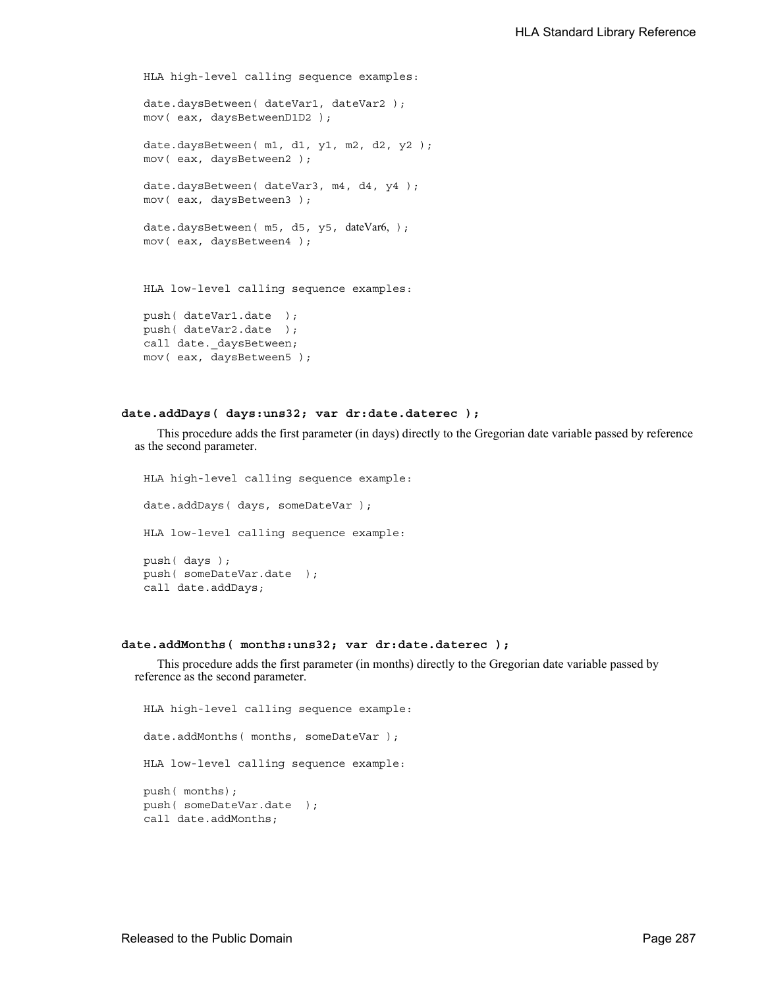```
HLA high-level calling sequence examples:
date.daysBetween( dateVar1, dateVar2 );
mov( eax, daysBetweenD1D2 );
date.daysBetween( m1, d1, y1, m2, d2, y2 );
mov( eax, daysBetween2 );
date.daysBetween( dateVar3, m4, d4, y4 );
mov( eax, daysBetween3 );
date.daysBetween( m5, d5, y5, dateVar6, );
mov( eax, daysBetween4 );
HLA low-level calling sequence examples:
push( dateVar1.date );
push( dateVar2.date );
call date._daysBetween;
mov( eax, daysBetween5 );
```
## **date.addDays( days:uns32; var dr:date.daterec );**

This procedure adds the first parameter (in days) directly to the Gregorian date variable passed by reference as the second parameter.

HLA high-level calling sequence example: date.addDays( days, someDateVar ) ; HLA low-level calling sequence example: push( days ); push( someDateVar.date ); call date.addDays;

#### **date.addMonths( months:uns32; var dr:date.daterec );**

This procedure adds the first parameter (in months) directly to the Gregorian date variable passed by reference as the second parameter.

```
HLA high-level calling sequence example:
date.addMonths( months, someDateVar );
HLA low-level calling sequence example:
push( months);
push( someDateVar.date );
call date.addMonths;
```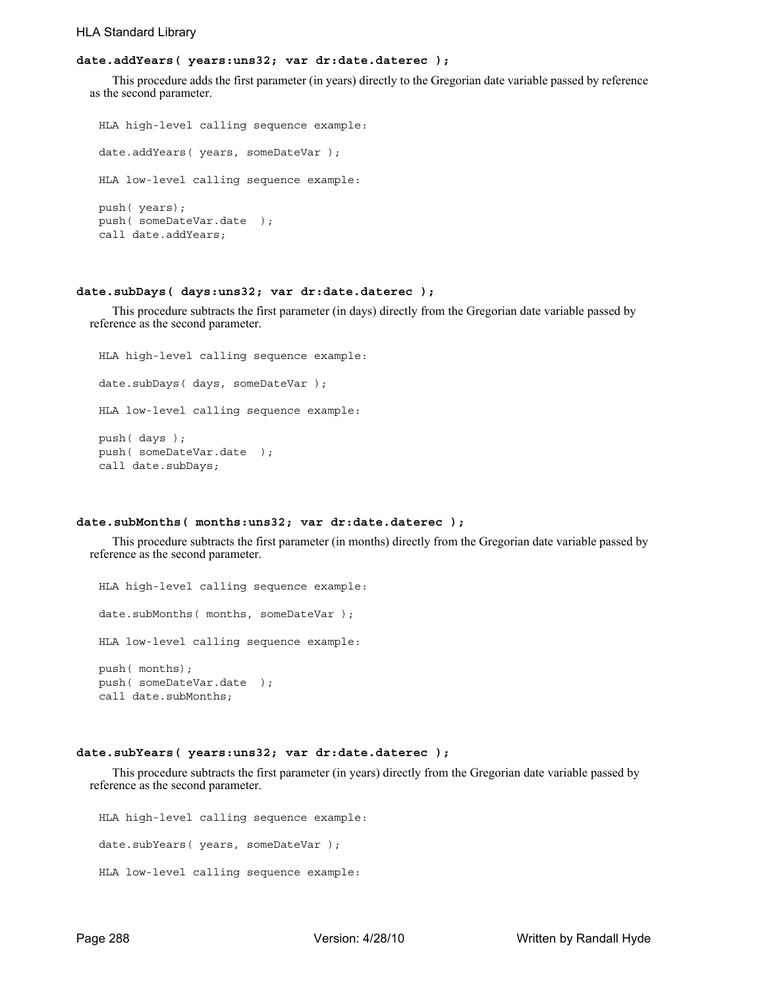# **date.addYears( years:uns32; var dr:date.daterec );**

This procedure adds the first parameter (in years) directly to the Gregorian date variable passed by reference as the second parameter.

```
HLA high-level calling sequence example:
date.addYears( years, someDateVar );
HLA low-level calling sequence example:
push( years);
push( someDateVar.date );
call date.addYears;
```
#### **date.subDays( days:uns32; var dr:date.daterec );**

This procedure subtracts the first parameter (in days) directly from the Gregorian date variable passed by reference as the second parameter.

```
HLA high-level calling sequence example:
date.subDays( days, someDateVar );
HLA low-level calling sequence example:
push( days );
push( someDateVar.date );
call date.subDays;
```
### **date.subMonths( months:uns32; var dr:date.daterec );**

This procedure subtracts the first parameter (in months) directly from the Gregorian date variable passed by reference as the second parameter.

HLA high-level calling sequence example: date.subMonths( months, someDateVar ); HLA low-level calling sequence example: push( months); push( someDateVar.date ); call date.subMonths;

## **date.subYears( years:uns32; var dr:date.daterec );**

This procedure subtracts the first parameter (in years) directly from the Gregorian date variable passed by reference as the second parameter.

```
HLA high-level calling sequence example:
date.subYears( years, someDateVar );
HLA low-level calling sequence example:
```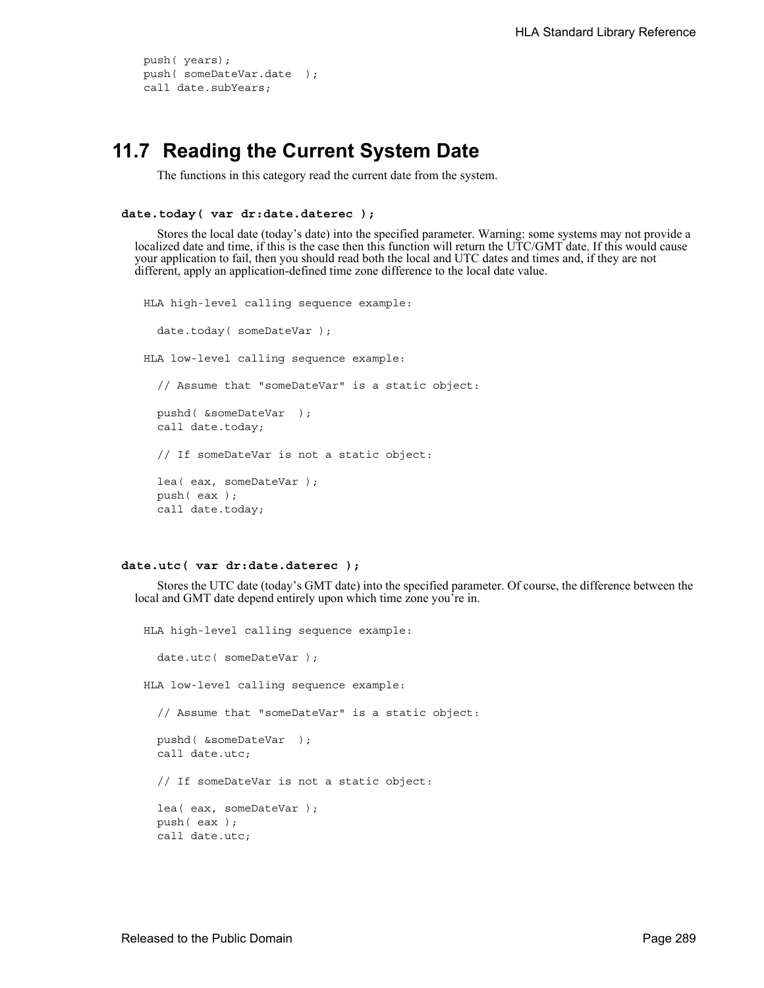```
push( years);
push( someDateVar.date );
call date.subYears;
```
# **11.7 Reading the Current System Date**

The functions in this category read the current date from the system.

```
date.today( var dr:date.daterec );
```
Stores the local date (today's date) into the specified parameter. Warning: some systems may not provide a localized date and time, if this is the case then this function will return the UTC/GMT date. If this would cause your application to fail, then you should read both the local and UTC dates and times and, if they are not different, apply an application-defined time zone difference to the local date value.

```
HLA high-level calling sequence example:
  date.today( someDateVar );
HLA low-level calling sequence example:
  // Assume that "someDateVar" is a static object:
  pushd( &someDateVar );
  call date.today;
  // If someDateVar is not a static object:
  lea( eax, someDateVar );
  push( eax );
  call date.today;
```

```
date.utc( var dr:date.daterec );
```
Stores the UTC date (today's GMT date) into the specified parameter. Of course, the difference between the local and GMT date depend entirely upon which time zone you're in.

```
HLA high-level calling sequence example:
 date.utc( someDateVar ) ;
HLA low-level calling sequence example:
  // Assume that "someDateVar" is a static object:
 pushd( &someDateVar );
 call date.utc;
 // If someDateVar is not a static object:
 lea( eax, someDateVar );
 push( eax );
 call date.utc;
```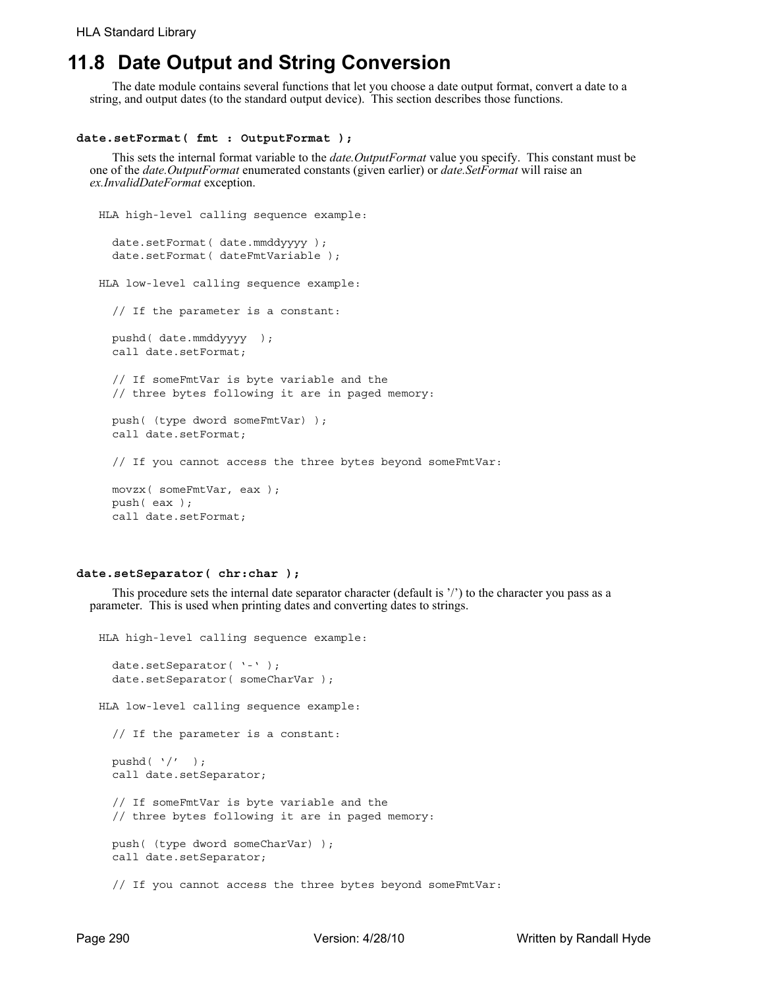# **11.8 Date Output and String Conversion**

The date module contains several functions that let you choose a date output format, convert a date to a string, and output dates (to the standard output device). This section describes those functions.

#### **date.setFormat( fmt : OutputFormat );**

This sets the internal format variable to the *date.OutputFormat* value you specify. This constant must be one of the *date.OutputFormat* enumerated constants (given earlier) or *date.SetFormat* will raise an *ex.InvalidDateFormat* exception.

```
HLA high-level calling sequence example:
  date.setFormat( date.mmddyyyy );
  date.setFormat( dateFmtVariable );
HLA low-level calling sequence example:
  // If the parameter is a constant:
  pushd( date.mmddyyyy );
  call date.setFormat;
  // If someFmtVar is byte variable and the
  // three bytes following it are in paged memory:
  push( (type dword someFmtVar) );
  call date.setFormat;
  // If you cannot access the three bytes beyond someFmtVar:
  movzx( someFmtVar, eax );
  push( eax );
```
#### **date.setSeparator( chr:char );**

call date.setFormat;

This procedure sets the internal date separator character (default is '/') to the character you pass as a parameter. This is used when printing dates and converting dates to strings.

```
HLA high-level calling sequence example:
  date.setSeparator( '-' );
  date.setSeparator( someCharVar );
HLA low-level calling sequence example:
  // If the parameter is a constant:
  pushd( \prime/' );
  call date.setSeparator;
  // If someFmtVar is byte variable and the
  // three bytes following it are in paged memory:
  push( (type dword someCharVar) );
  call date.setSeparator;
  // If you cannot access the three bytes beyond someFmtVar:
```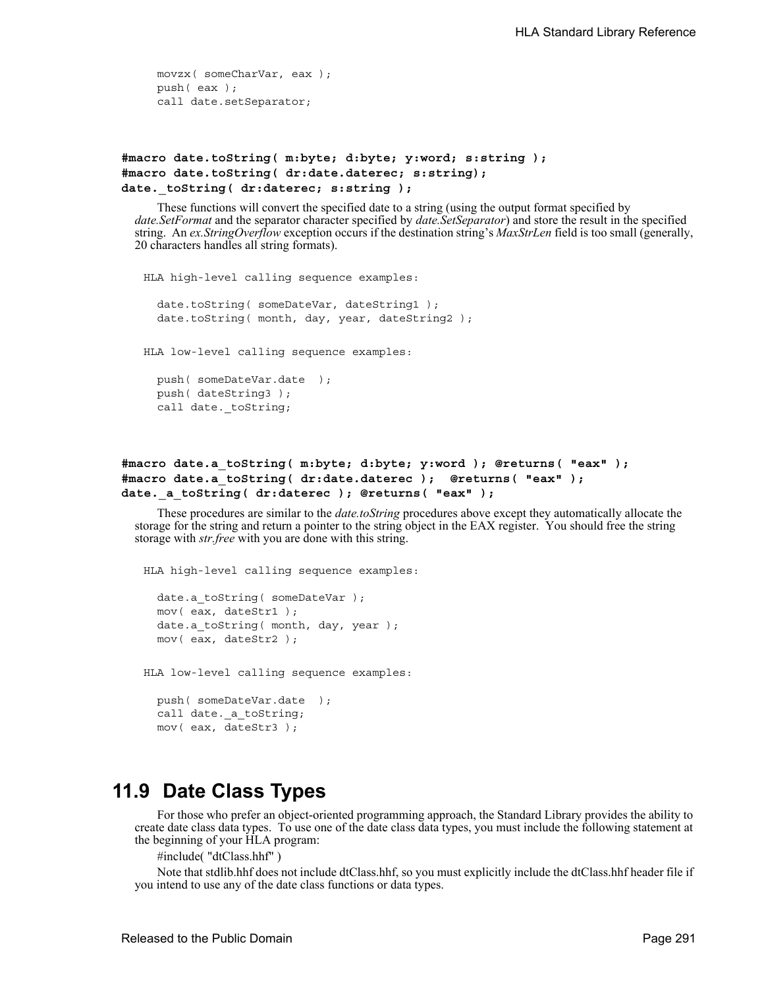movzx( someCharVar, eax ); push( eax ); call date.setSeparator;

```
#macro date.toString( m:byte; d:byte; y:word; s:string );
#macro date.toString( dr:date.daterec; s:string);
date. toString( dr:daterec; s:string );
```
These functions will convert the specified date to a string (using the output format specified by *date.SetFormat* and the separator character specified by *date.SetSeparator*) and store the result in the specified string. An *ex.StringOverflow* exception occurs if the destination string's *MaxStrLen* field is too small (generally, 20 characters handles all string formats).

```
HLA high-level calling sequence examples:
  date.toString( someDateVar, dateString1 );
  date.toString( month, day, year, dateString2 );
HLA low-level calling sequence examples:
  push( someDateVar.date );
  push( dateString3 );
  call date._toString;
```
# **#macro date.a\_toString( m:byte; d:byte; y:word ); @returns( "eax" ); #macro date.a\_toString( dr:date.daterec ); @returns( "eax" );** date. a toString( dr:daterec ); @returns( "eax" );

These procedures are similar to the *date.toString* procedures above except they automatically allocate the storage for the string and return a pointer to the string object in the EAX register. You should free the string storage with *str.free* with you are done with this string.

HLA high-level calling sequence examples:

```
date.a_toString( someDateVar );
mov( eax, dateStr1 );
date.a toString( month, day, year );
mov( eax, dateStr2 );
```
HLA low-level calling sequence examples:

```
push( someDateVar.date );
call date. a_toString;
mov( eax, dateStr3 );
```
# **11.9 Date Class Types**

For those who prefer an object-oriented programming approach, the Standard Library provides the ability to create date class data types. To use one of the date class data types, you must include the following statement at the beginning of your HLA program:

```
#include( "dtClass.hhf" )
```
Note that stdlib.hhf does not include dtClass.hhf, so you must explicitly include the dtClass.hhf header file if you intend to use any of the date class functions or data types.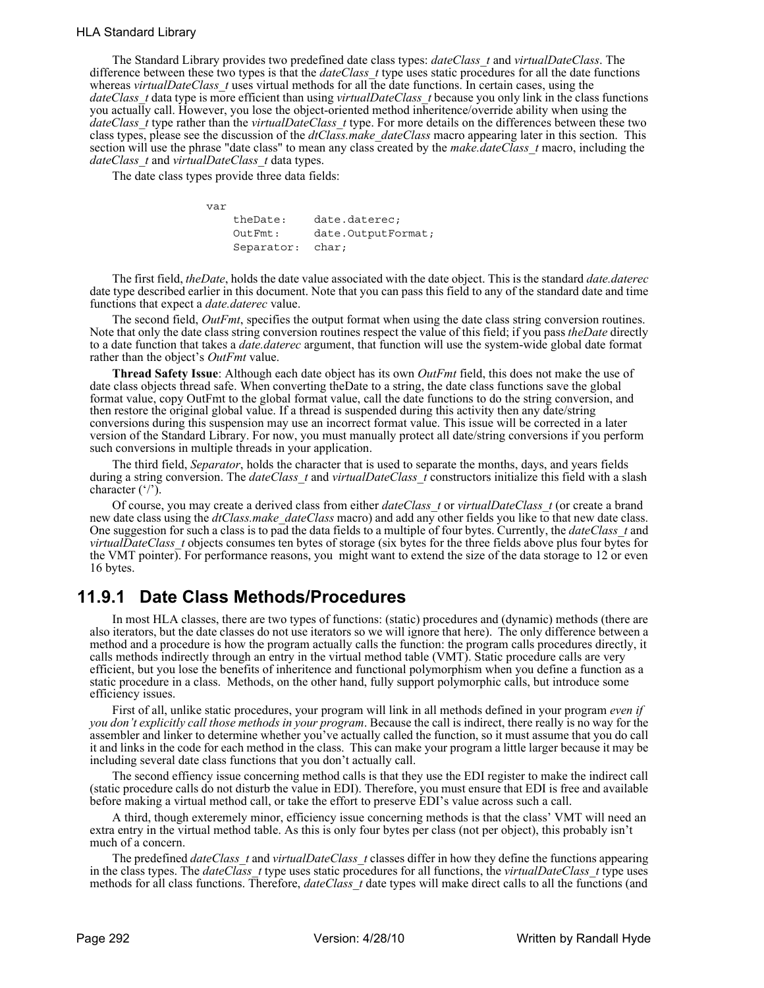# HLA Standard Library

The Standard Library provides two predefined date class types: *dateClass\_t* and *virtualDateClass*. The difference between these two types is that the *dateClass\_t* type uses static procedures for all the date functions whereas *virtualDateClass* t uses virtual methods for all the date functions. In certain cases, using the *dateClass\_t* data type is more efficient than using *virtualDateClass\_t* because you only link in the class functions you actually call. However, you lose the object-oriented method inheritence/override ability when using the *dateClass\_t* type rather than the *virtualDateClass\_t* type. For more details on the differences between these two class types, please see the discussion of the *dtClass.make\_dateClass* macro appearing later in this section. This section will use the phrase "date class" to mean any class created by the *make.dateClass\_t* macro, including the *dateClass\_t* and *virtualDateClass\_t* data types.

The date class types provide three data fields:

 var theDate: date.daterec; OutFmt: date.OutputFormat; Separator: char;

The first field, *theDate*, holds the date value associated with the date object. This is the standard *date.daterec* date type described earlier in this document. Note that you can pass this field to any of the standard date and time functions that expect a *date.daterec* value.

The second field, *OutFmt*, specifies the output format when using the date class string conversion routines. Note that only the date class string conversion routines respect the value of this field; if you pass *theDate* directly to a date function that takes a *date.daterec* argument, that function will use the system-wide global date format rather than the object's *OutFmt* value.

**Thread Safety Issue**: Although each date object has its own *OutFmt* field, this does not make the use of date class objects thread safe. When converting theDate to a string, the date class functions save the global format value, copy OutFmt to the global format value, call the date functions to do the string conversion, and then restore the original global value. If a thread is suspended during this activity then any date/string conversions during this suspension may use an incorrect format value. This issue will be corrected in a later version of the Standard Library. For now, you must manually protect all date/string conversions if you perform such conversions in multiple threads in your application.

The third field, *Separator*, holds the character that is used to separate the months, days, and years fields during a string conversion. The *dateClass* t and *virtualDateClass* t constructors initialize this field with a slash character  $('')$ .

Of course, you may create a derived class from either *dateClass\_t* or *virtualDateClass\_t* (or create a brand new date class using the *dtClass.make\_dateClass* macro) and add any other fields you like to that new date class. One suggestion for such a class is to pad the data fields to a multiple of four bytes. Currently, the *dateClass\_t* and *virtualDateClass\_t* objects consumes ten bytes of storage (six bytes for the three fields above plus four bytes for the VMT pointer). For performance reasons, you might want to extend the size of the data storage to 12 or even 16 bytes.

# **11.9.1 Date Class Methods/Procedures**

In most HLA classes, there are two types of functions: (static) procedures and (dynamic) methods (there are also iterators, but the date classes do not use iterators so we will ignore that here). The only difference between a method and a procedure is how the program actually calls the function: the program calls procedures directly, it calls methods indirectly through an entry in the virtual method table (VMT). Static procedure calls are very efficient, but you lose the benefits of inheritence and functional polymorphism when you define a function as a static procedure in a class. Methods, on the other hand, fully support polymorphic calls, but introduce some efficiency issues.

First of all, unlike static procedures, your program will link in all methods defined in your program *even if you don't explicitly call those methods in your program*. Because the call is indirect, there really is no way for the assembler and linker to determine whether you've actually called the function, so it must assume that you do call it and links in the code for each method in the class. This can make your program a little larger because it may be including several date class functions that you don't actually call.

The second effiency issue concerning method calls is that they use the EDI register to make the indirect call (static procedure calls do not disturb the value in EDI). Therefore, you must ensure that EDI is free and available before making a virtual method call, or take the effort to preserve EDI's value across such a call.

A third, though exteremely minor, efficiency issue concerning methods is that the class' VMT will need an extra entry in the virtual method table. As this is only four bytes per class (not per object), this probably isn't much of a concern.

The predefined *dateClass\_t* and *virtualDateClass\_t* classes differ in how they define the functions appearing in the class types. The *dateClass* t type uses static procedures for all functions, the *virtualDateClass* t type uses methods for all class functions. Therefore, *dateClass* t date types will make direct calls to all the functions (and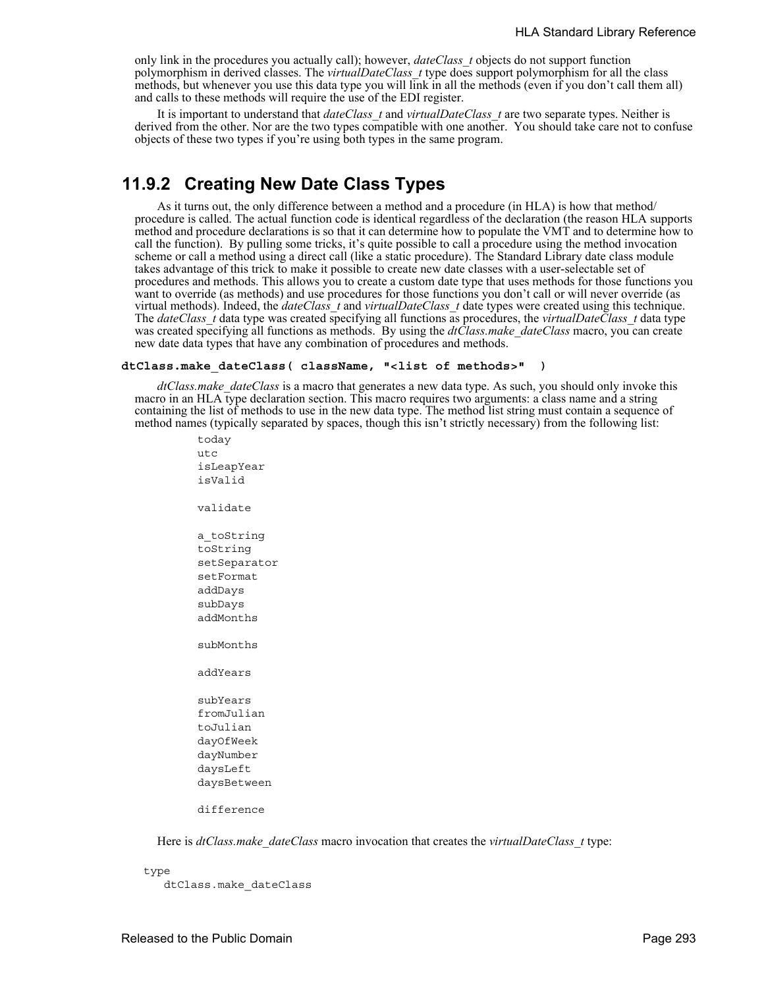only link in the procedures you actually call); however, *dateClass\_t* objects do not support function polymorphism in derived classes. The *virtualDateClass\_t* type does support polymorphism for all the class methods, but whenever you use this data type you will link in all the methods (even if you don't call them all) and calls to these methods will require the use of the EDI register.

It is important to understand that *dateClass\_t* and *virtualDateClass\_t* are two separate types. Neither is derived from the other. Nor are the two types compatible with one another. You should take care not to confuse objects of these two types if you're using both types in the same program.

# **11.9.2 Creating New Date Class Types**

As it turns out, the only difference between a method and a procedure (in HLA) is how that method/ procedure is called. The actual function code is identical regardless of the declaration (the reason HLA supports method and procedure declarations is so that it can determine how to populate the VMT and to determine how to call the function). By pulling some tricks, it's quite possible to call a procedure using the method invocation scheme or call a method using a direct call (like a static procedure). The Standard Library date class module takes advantage of this trick to make it possible to create new date classes with a user-selectable set of procedures and methods. This allows you to create a custom date type that uses methods for those functions you want to override (as methods) and use procedures for those functions you don't call or will never override (as virtual methods). Indeed, the *dateClass\_t* and *virtualDateClass\_t* date types were created using this technique. The *dateClass\_t* data type was created specifying all functions as procedures, the *virtualDateClass\_t* data type was created specifying all functions as methods. By using the *dtClass.make dateClass* macro, you can create new date data types that have any combination of procedures and methods.

### **dtClass.make\_dateClass( className, "<list of methods>" )**

*dtClass.make\_dateClass* is a macro that generates a new data type. As such, you should only invoke this macro in an HLA type declaration section. This macro requires two arguments: a class name and a string containing the list of methods to use in the new data type. The method list string must contain a sequence of method names (typically separated by spaces, though this isn't strictly necessary) from the following list:

> utc isLeapYear isValid validate a\_toString toString setSeparator setFormat addDays subDays addMonths subMonths addYears subYears fromJulian toJulian dayOfWeek dayNumber daysLeft daysBetween difference

today

Here is *dtClass.make\_dateClass* macro invocation that creates the *virtualDateClass\_t* type:

type

dtClass.make\_dateClass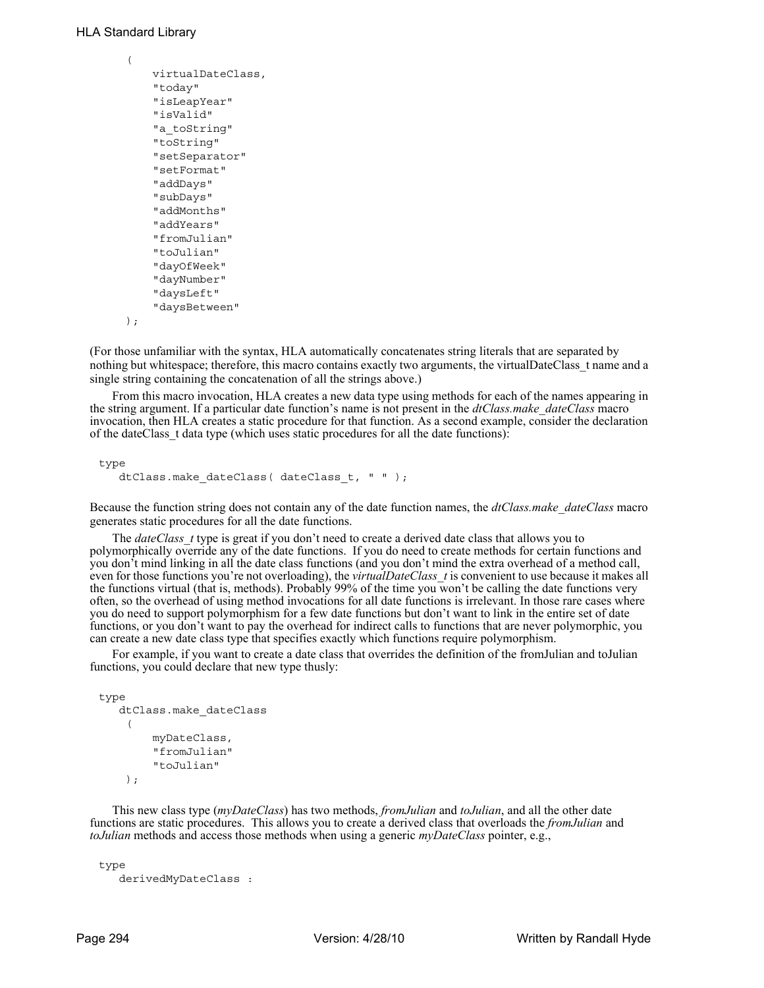```
 ( 
      virtualDateClass,
      "today" 
      "isLeapYear" 
      "isValid" 
     "a_toString"
      "toString" 
      "setSeparator"
      "setFormat" 
      "addDays" 
      "subDays" 
      "addMonths" 
      "addYears" 
      "fromJulian" 
      "toJulian" 
      "dayOfWeek" 
      "dayNumber" 
      "daysLeft" 
      "daysBetween"
 );
```
(For those unfamiliar with the syntax, HLA automatically concatenates string literals that are separated by nothing but whitespace; therefore, this macro contains exactly two arguments, the virtualDateClass t name and a single string containing the concatenation of all the strings above.)

From this macro invocation, HLA creates a new data type using methods for each of the names appearing in the string argument. If a particular date function's name is not present in the *dtClass.make\_dateClass* macro invocation, then HLA creates a static procedure for that function. As a second example, consider the declaration of the dateClass\_t data type (which uses static procedures for all the date functions):

type dtClass.make dateClass( dateClass t, " " );

Because the function string does not contain any of the date function names, the *dtClass.make\_dateClass* macro generates static procedures for all the date functions.

The *dateClass* t type is great if you don't need to create a derived date class that allows you to polymorphically override any of the date functions. If you do need to create methods for certain functions and you don't mind linking in all the date class functions (and you don't mind the extra overhead of a method call, even for those functions you're not overloading), the *virtualDateClass* t is convenient to use because it makes all the functions virtual (that is, methods). Probably 99% of the time you won't be calling the date functions very often, so the overhead of using method invocations for all date functions is irrelevant. In those rare cases where you do need to support polymorphism for a few date functions but don't want to link in the entire set of date functions, or you don't want to pay the overhead for indirect calls to functions that are never polymorphic, you can create a new date class type that specifies exactly which functions require polymorphism.

For example, if you want to create a date class that overrides the definition of the fromJulian and toJulian functions, you could declare that new type thusly:

```
type
    dtClass.make_dateClass
      ( 
          myDateClass,
          "fromJulian" 
          "toJulian" 
     );
```
This new class type (*myDateClass*) has two methods, *fromJulian* and *toJulian*, and all the other date functions are static procedures. This allows you to create a derived class that overloads the *fromJulian* and *toJulian* methods and access those methods when using a generic *myDateClass* pointer, e.g.,

```
type
    derivedMyDateClass :
```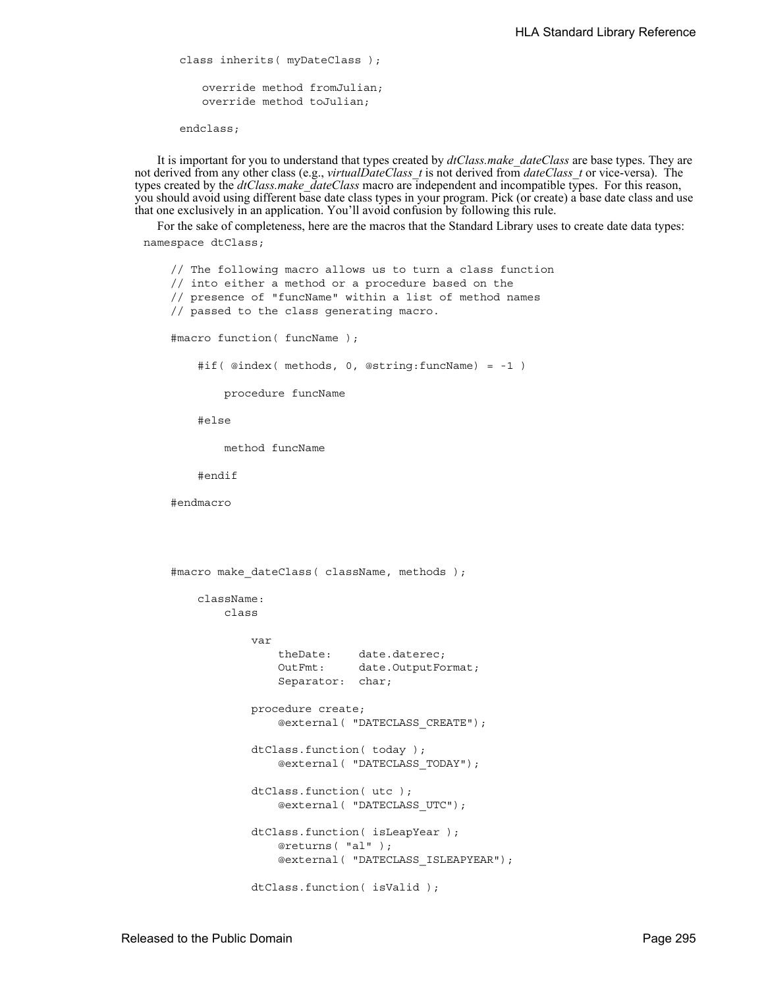```
class inherits( myDateClass );
   override method fromJulian;
   override method toJulian;
endclass;
```
It is important for you to understand that types created by *dtClass.make\_dateClass* are base types. They are not derived from any other class (e.g., *virtualDateClass\_t* is not derived from *dateClass\_t* or vice-versa). The types created by the *dtClass.make\_dateClass* macro are independent and incompatible types. For this reason, you should avoid using different base date class types in your program. Pick (or create) a base date class and use that one exclusively in an application. You'll avoid confusion by following this rule.

For the sake of completeness, here are the macros that the Standard Library uses to create date data types: namespace dtClass;

```
 // The following macro allows us to turn a class function
 // into either a method or a procedure based on the
 // presence of "funcName" within a list of method names
 // passed to the class generating macro.
 #macro function( funcName );
     #if( @index( methods, 0, @string:funcName) = -1 )
         procedure funcName
     #else
         method funcName
     #endif
 #endmacro
 #macro make_dateClass( className, methods );
     className:
         class
             var
                 theDate: date.daterec;
                 OutFmt: date.OutputFormat;
                 Separator: char;
             procedure create; 
                 @external( "DATECLASS_CREATE");
             dtClass.function( today ); 
                 @external( "DATECLASS_TODAY");
             dtClass.function( utc ); 
                 @external( "DATECLASS_UTC");
             dtClass.function( isLeapYear ); 
                 @returns( "al" ); 
                 @external( "DATECLASS_ISLEAPYEAR");
             dtClass.function( isValid );
```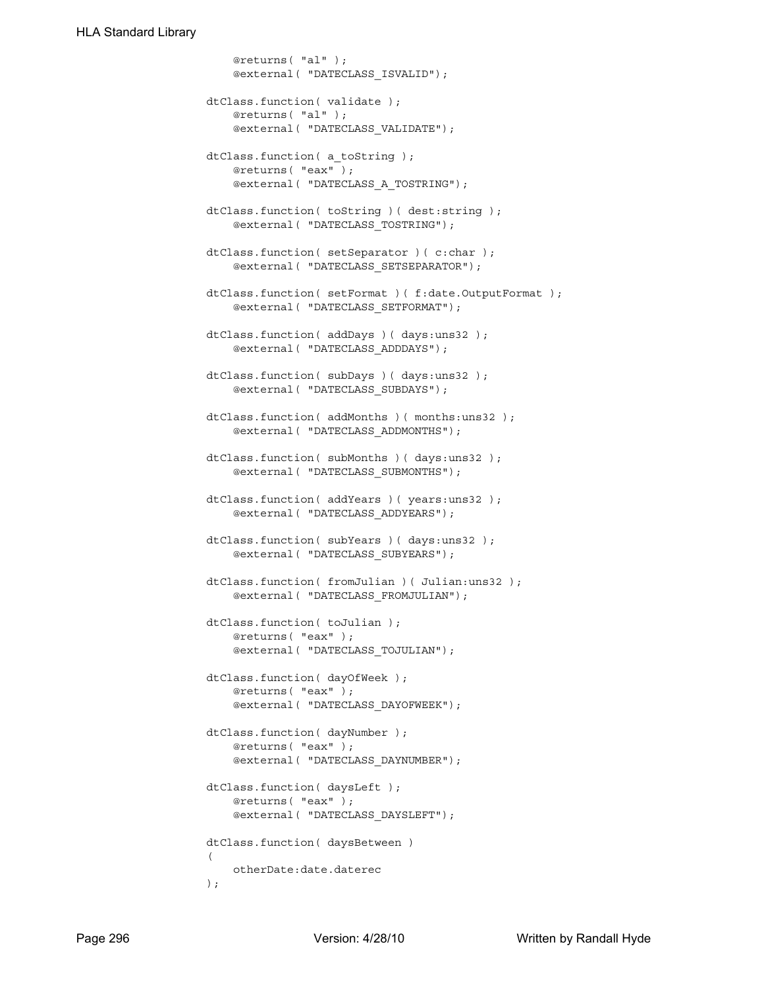```
 @returns( "al" ); 
                     @external( "DATECLASS_ISVALID");
                 dtClass.function( validate ); 
                     @returns( "al" ); 
                     @external( "DATECLASS_VALIDATE");
                 dtClass.function( a_toString ); 
                     @returns( "eax" ); 
                     @external( "DATECLASS_A_TOSTRING");
                dtClass.function( toString )( dest:string );
                     @external( "DATECLASS_TOSTRING");
                 dtClass.function( setSeparator )( c:char ); 
                     @external( "DATECLASS_SETSEPARATOR");
                 dtClass.function( setFormat )( f:date.OutputFormat ); 
                     @external( "DATECLASS_SETFORMAT");
                 dtClass.function( addDays )( days:uns32 ); 
                     @external( "DATECLASS_ADDDAYS");
                dtClass.function( subDays )( days:uns32 );
                     @external( "DATECLASS_SUBDAYS");
                 dtClass.function( addMonths )( months:uns32 ); 
                     @external( "DATECLASS_ADDMONTHS");
                 dtClass.function( subMonths )( days:uns32 ); 
                     @external( "DATECLASS_SUBMONTHS");
                 dtClass.function( addYears )( years:uns32 ); 
                     @external( "DATECLASS_ADDYEARS");
                dtClass.function( subYears )( days:uns32 );
                     @external( "DATECLASS_SUBYEARS");
                dtClass.function( fromJulian )( Julian:uns32 );
                     @external( "DATECLASS_FROMJULIAN");
                 dtClass.function( toJulian ); 
                     @returns( "eax" ); 
                     @external( "DATECLASS_TOJULIAN");
                 dtClass.function( dayOfWeek ); 
                     @returns( "eax" ); 
                     @external( "DATECLASS_DAYOFWEEK");
                 dtClass.function( dayNumber ); 
                     @returns( "eax" ); 
                     @external( "DATECLASS_DAYNUMBER");
                 dtClass.function( daysLeft ); 
                     @returns( "eax" ); 
                     @external( "DATECLASS_DAYSLEFT");
                 dtClass.function( daysBetween )
\overline{a} otherDate:date.daterec 
                 );
```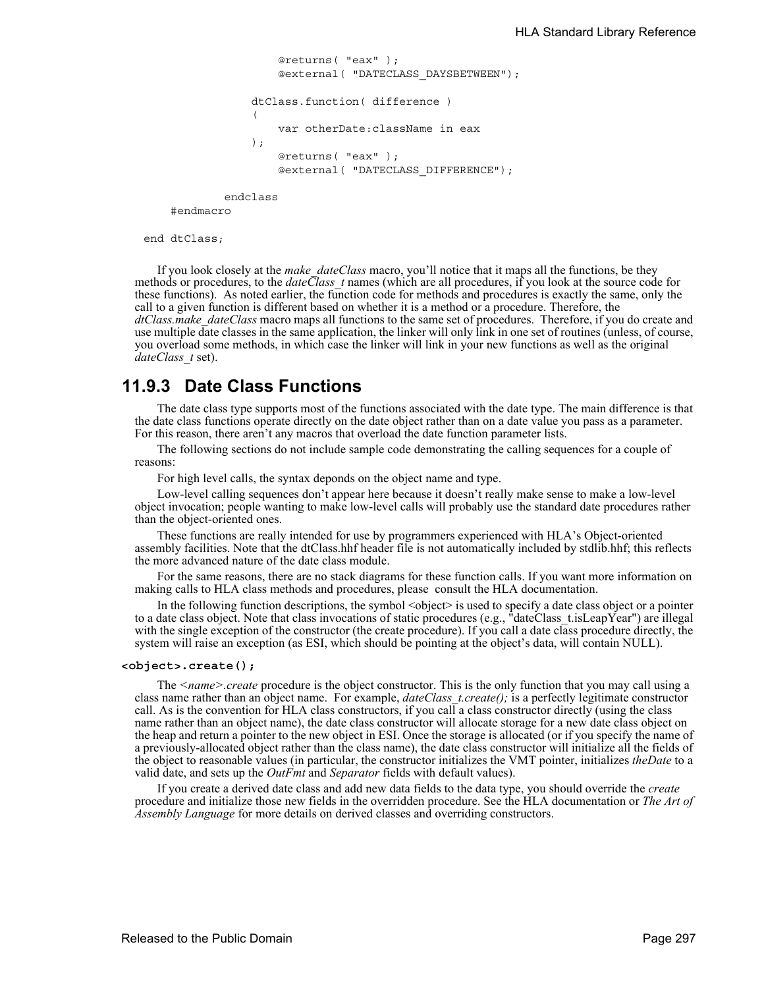```
 @returns( "eax" ); 
                     @external( "DATECLASS_DAYSBETWEEN");
                 dtClass.function( difference )
\overline{a} var otherDate:className in eax 
                 ); 
                     @returns( "eax" ); 
                     @external( "DATECLASS_DIFFERENCE");
```
endclass

#endmacro

end dtClass;

If you look closely at the *make\_dateClass* macro, you'll notice that it maps all the functions, be they methods or procedures, to the *dateClass\_t* names (which are all procedures, if you look at the source code for these functions). As noted earlier, the function code for methods and procedures is exactly the same, only the call to a given function is different based on whether it is a method or a procedure. Therefore, the *dtClass.make\_dateClass* macro maps all functions to the same set of procedures. Therefore, if you do create and use multiple date classes in the same application, the linker will only link in one set of routines (unless, of course, you overload some methods, in which case the linker will link in your new functions as well as the original *dateClass\_t* set).

# **11.9.3 Date Class Functions**

The date class type supports most of the functions associated with the date type. The main difference is that the date class functions operate directly on the date object rather than on a date value you pass as a parameter. For this reason, there aren't any macros that overload the date function parameter lists.

The following sections do not include sample code demonstrating the calling sequences for a couple of reasons:

For high level calls, the syntax deponds on the object name and type.

Low-level calling sequences don't appear here because it doesn't really make sense to make a low-level object invocation; people wanting to make low-level calls will probably use the standard date procedures rather than the object-oriented ones.

These functions are really intended for use by programmers experienced with HLA's Object-oriented assembly facilities. Note that the dtClass.hhf header file is not automatically included by stdlib.hhf; this reflects the more advanced nature of the date class module.

For the same reasons, there are no stack diagrams for these function calls. If you want more information on making calls to HLA class methods and procedures, please consult the HLA documentation.

In the following function descriptions, the symbol  $\leq$  bject $\geq$  is used to specify a date class object or a pointer to a date class object. Note that class invocations of static procedures (e.g., "dateClass t.isLeapYear") are illegal with the single exception of the constructor (the create procedure). If you call a date class procedure directly, the system will raise an exception (as ESI, which should be pointing at the object's data, will contain NULL).

#### **<object>.create();**

The *<name>.create* procedure is the object constructor. This is the only function that you may call using a class name rather than an object name. For example, *dateClass\_t.create();* is a perfectly legitimate constructor call. As is the convention for HLA class constructors, if you call a class constructor directly (using the class name rather than an object name), the date class constructor will allocate storage for a new date class object on the heap and return a pointer to the new object in ESI. Once the storage is allocated (or if you specify the name of a previously-allocated object rather than the class name), the date class constructor will initialize all the fields of the object to reasonable values (in particular, the constructor initializes the VMT pointer, initializes *theDate* to a valid date, and sets up the *OutFmt* and *Separator* fields with default values).

If you create a derived date class and add new data fields to the data type, you should override the *create* procedure and initialize those new fields in the overridden procedure. See the HLA documentation or *The Art of Assembly Language* for more details on derived classes and overriding constructors.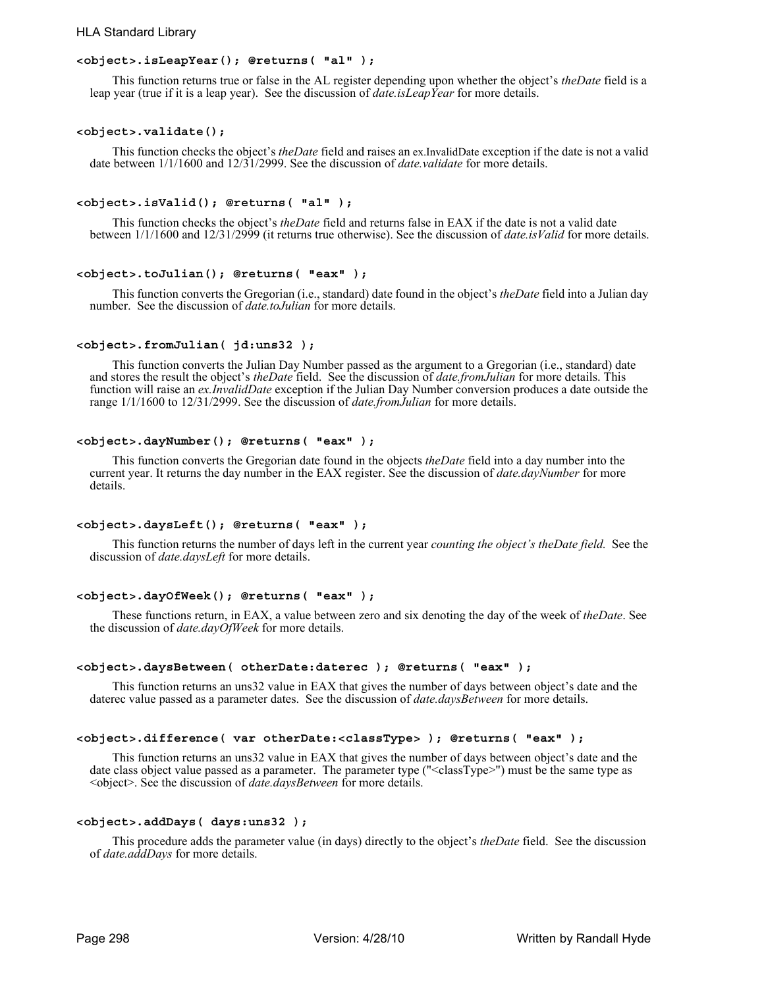# HLA Standard Library

### **<object>.isLeapYear(); @returns( "al" );**

This function returns true or false in the AL register depending upon whether the object's *theDate* field is a leap year (true if it is a leap year). See the discussion of *date.isLeapYear* for more details.

### **<object>.validate();**

This function checks the object's *theDate* field and raises an ex.InvalidDate exception if the date is not a valid date between 1/1/1600 and 12/31/2999. See the discussion of *date.validate* for more details.

### **<object>.isValid(); @returns( "al" );**

This function checks the object's *theDate* field and returns false in EAX if the date is not a valid date between 1/1/1600 and 12/31/2999 (it returns true otherwise). See the discussion of *date.isValid* for more details.

#### **<object>.toJulian(); @returns( "eax" );**

This function converts the Gregorian (i.e., standard) date found in the object's *theDate* field into a Julian day number. See the discussion of *date.toJulian* for more details.

### **<object>.fromJulian( jd:uns32 );**

This function converts the Julian Day Number passed as the argument to a Gregorian (i.e., standard) date and stores the result the object's *theDate* field. See the discussion of *date.fromJulian* for more details. This function will raise an *ex.InvalidDate* exception if the Julian Day Number conversion produces a date outside the range 1/1/1600 to 12/31/2999. See the discussion of *date.fromJulian* for more details.

### **<object>.dayNumber(); @returns( "eax" );**

This function converts the Gregorian date found in the objects *theDate* field into a day number into the current year. It returns the day number in the EAX register. See the discussion of *date.dayNumber* for more details.

## **<object>.daysLeft(); @returns( "eax" );**

This function returns the number of days left in the current year *counting the object's theDate field.* See the discussion of *date.daysLeft* for more details.

## **<object>.dayOfWeek(); @returns( "eax" );**

These functions return, in EAX, a value between zero and six denoting the day of the week of *theDate*. See the discussion of *date.dayOfWeek* for more details.

#### **<object>.daysBetween( otherDate:daterec ); @returns( "eax" );**

This function returns an uns32 value in EAX that gives the number of days between object's date and the daterec value passed as a parameter dates. See the discussion of *date.daysBetween* for more details.

#### **<object>.difference( var otherDate:<classType> ); @returns( "eax" );**

This function returns an uns32 value in EAX that gives the number of days between object's date and the date class object value passed as a parameter. The parameter type ("<classType>") must be the same type as <object>. See the discussion of *date.daysBetween* for more details.

## **<object>.addDays( days:uns32 );**

This procedure adds the parameter value (in days) directly to the object's *theDate* field. See the discussion of *date.addDays* for more details.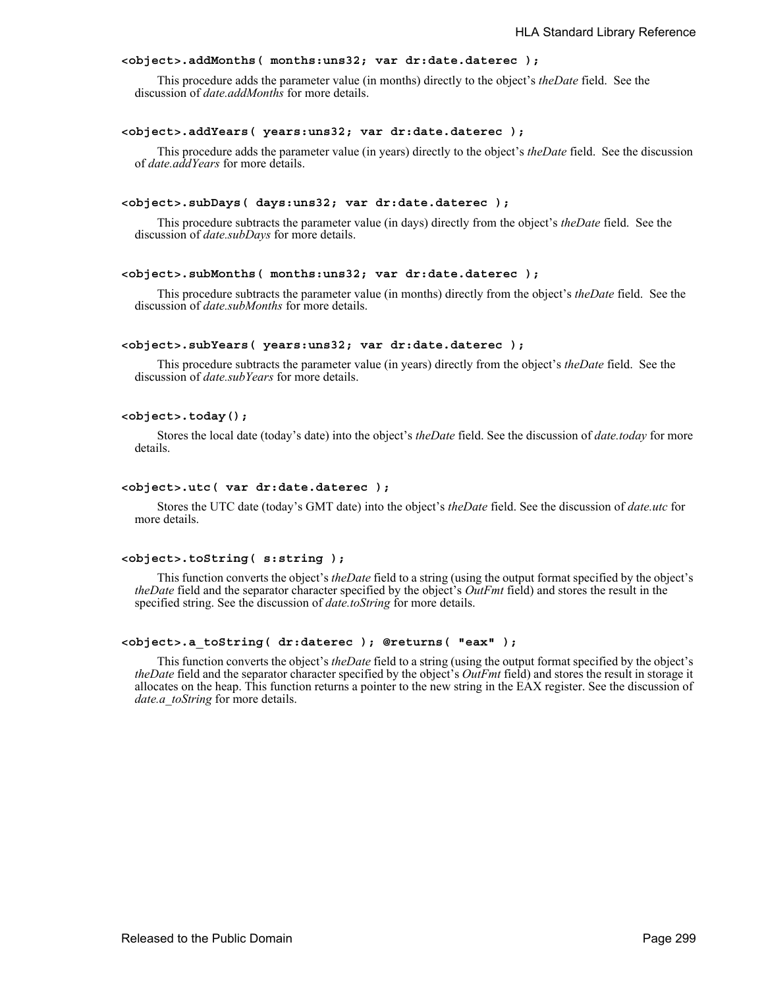### **<object>.addMonths( months:uns32; var dr:date.daterec );**

This procedure adds the parameter value (in months) directly to the object's *theDate* field. See the discussion of *date.addMonths* for more details.

#### **<object>.addYears( years:uns32; var dr:date.daterec );**

This procedure adds the parameter value (in years) directly to the object's *theDate* field. See the discussion of *date.addYears* for more details.

#### **<object>.subDays( days:uns32; var dr:date.daterec );**

This procedure subtracts the parameter value (in days) directly from the object's *theDate* field. See the discussion of *date.subDays* for more details.

#### **<object>.subMonths( months:uns32; var dr:date.daterec );**

This procedure subtracts the parameter value (in months) directly from the object's *theDate* field. See the discussion of *date.subMonths* for more details.

#### **<object>.subYears( years:uns32; var dr:date.daterec );**

This procedure subtracts the parameter value (in years) directly from the object's *theDate* field. See the discussion of *date.subYears* for more details.

#### **<object>.today();**

Stores the local date (today's date) into the object's *theDate* field. See the discussion of *date.today* for more details.

#### **<object>.utc( var dr:date.daterec );**

Stores the UTC date (today's GMT date) into the object's *theDate* field. See the discussion of *date.utc* for more details.

#### **<object>.toString( s:string );**

This function converts the object's *theDate* field to a string (using the output format specified by the object's *theDate* field and the separator character specified by the object's *OutFmt* field) and stores the result in the specified string. See the discussion of *date.toString* for more details.

#### **<object>.a\_toString( dr:daterec ); @returns( "eax" );**

This function converts the object's *theDate* field to a string (using the output format specified by the object's *theDate* field and the separator character specified by the object's *OutFmt* field) and stores the result in storage it allocates on the heap. This function returns a pointer to the new string in the EAX register. See the discussion of *date.a\_toString* for more details.